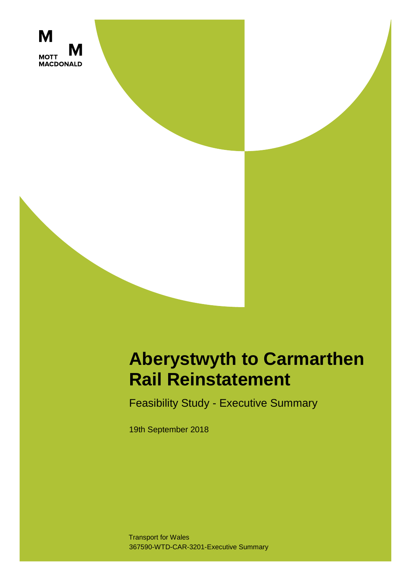

## **Aberystwyth to Carmarthen Rail Reinstatement**

Feasibility Study - Executive Summary

19th September 2018

367590-WTD-CAR-3201-Executive Summary Transport for Wales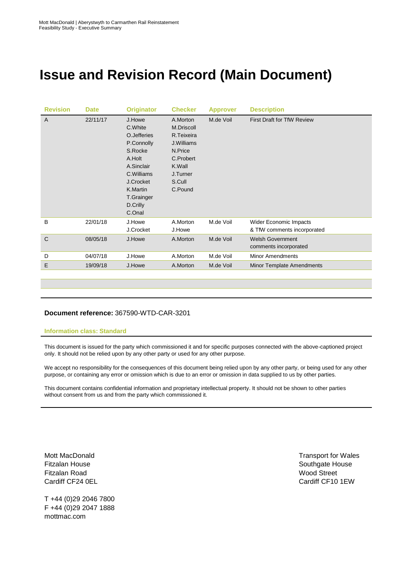## **Issue and Revision Record (Main Document)**

| <b>Revision</b> | <b>Date</b> | <b>Originator</b>                                                                                                                                             | <b>Checker</b>                                                                                                        | <b>Approver</b> | <b>Description</b>                                    |
|-----------------|-------------|---------------------------------------------------------------------------------------------------------------------------------------------------------------|-----------------------------------------------------------------------------------------------------------------------|-----------------|-------------------------------------------------------|
| $\overline{A}$  | 22/11/17    | J.Howe<br>C. White<br>O.Jefferies<br>P.Connolly<br>S.Rocke<br>A.Holt<br>A.Sinclair<br>C.Williams<br>J.Crocket<br>K.Martin<br>T.Grainger<br>D.Crilly<br>C.Onal | A.Morton<br>M.Driscoll<br>R.Teixeira<br>J.Williams<br>N.Price<br>C.Probert<br>K.Wall<br>J.Turner<br>S.Cull<br>C.Pound | M.de Voil       | <b>First Draft for TfW Review</b>                     |
| B               | 22/01/18    | J.Howe<br>J.Crocket                                                                                                                                           | A.Morton<br>J.Howe                                                                                                    | M.de Voil       | Wider Economic Impacts<br>& TfW comments incorporated |
| $\mathsf{C}$    | 08/05/18    | J.Howe                                                                                                                                                        | A.Morton                                                                                                              | M.de Voil       | <b>Welsh Government</b><br>comments incorporated      |
| D               | 04/07/18    | J.Howe                                                                                                                                                        | A.Morton                                                                                                              | M.de Voil       | <b>Minor Amendments</b>                               |
| E               | 19/09/18    | J.Howe                                                                                                                                                        | A.Morton                                                                                                              | M.de Voil       | <b>Minor Template Amendments</b>                      |

## **Document reference:** 367590-WTD-CAR-3201

## **Information class: Standard**

This document is issued for the party which commissioned it and for specific purposes connected with the above-captioned project only. It should not be relied upon by any other party or used for any other purpose.

We accept no responsibility for the consequences of this document being relied upon by any other party, or being used for any other purpose, or containing any error or omission which is due to an error or omission in data supplied to us by other parties.

This document contains confidential information and proprietary intellectual property. It should not be shown to other parties without consent from us and from the party which commissioned it.

Mott MacDonald Fitzalan House Fitzalan Road Cardiff CF24 0EL

T +44 (0)29 2046 7800 F +44 (0)29 2047 1888 mottmac.com

Transport for Wales Southgate House Wood Street Cardiff CF10 1EW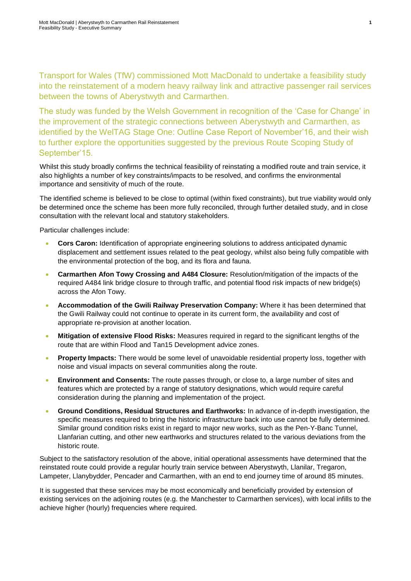Transport for Wales (TfW) commissioned Mott MacDonald to undertake a feasibility study into the reinstatement of a modern heavy railway link and attractive passenger rail services between the towns of Aberystwyth and Carmarthen.

The study was funded by the Welsh Government in recognition of the 'Case for Change' in the improvement of the strategic connections between Aberystwyth and Carmarthen, as identified by the WelTAG Stage One: Outline Case Report of November'16, and their wish to further explore the opportunities suggested by the previous Route Scoping Study of September'15.

Whilst this study broadly confirms the technical feasibility of reinstating a modified route and train service, it also highlights a number of key constraints/impacts to be resolved, and confirms the environmental importance and sensitivity of much of the route.

The identified scheme is believed to be close to optimal (within fixed constraints), but true viability would only be determined once the scheme has been more fully reconciled, through further detailed study, and in close consultation with the relevant local and statutory stakeholders.

Particular challenges include:

- **Cors Caron:** Identification of appropriate engineering solutions to address anticipated dynamic displacement and settlement issues related to the peat geology, whilst also being fully compatible with the environmental protection of the bog, and its flora and fauna.
- **Carmarthen Afon Towy Crossing and A484 Closure:** Resolution/mitigation of the impacts of the required A484 link bridge closure to through traffic, and potential flood risk impacts of new bridge(s) across the Afon Towy.
- **Accommodation of the Gwili Railway Preservation Company:** Where it has been determined that the Gwili Railway could not continue to operate in its current form, the availability and cost of appropriate re-provision at another location.
- **Mitigation of extensive Flood Risks:** Measures required in regard to the significant lengths of the route that are within Flood and Tan15 Development advice zones.
- **Property Impacts:** There would be some level of unavoidable residential property loss, together with noise and visual impacts on several communities along the route.
- **Environment and Consents:** The route passes through, or close to, a large number of sites and features which are protected by a range of statutory designations, which would require careful consideration during the planning and implementation of the project.
- **Ground Conditions, Residual Structures and Earthworks:** In advance of in-depth investigation, the specific measures required to bring the historic infrastructure back into use cannot be fully determined. Similar ground condition risks exist in regard to major new works, such as the Pen-Y-Banc Tunnel, Llanfarian cutting, and other new earthworks and structures related to the various deviations from the historic route.

Subject to the satisfactory resolution of the above, initial operational assessments have determined that the reinstated route could provide a regular hourly train service between Aberystwyth, Llanilar, Tregaron, Lampeter, Llanybydder, Pencader and Carmarthen, with an end to end journey time of around 85 minutes.

It is suggested that these services may be most economically and beneficially provided by extension of existing services on the adjoining routes (e.g. the Manchester to Carmarthen services), with local infills to the achieve higher (hourly) frequencies where required.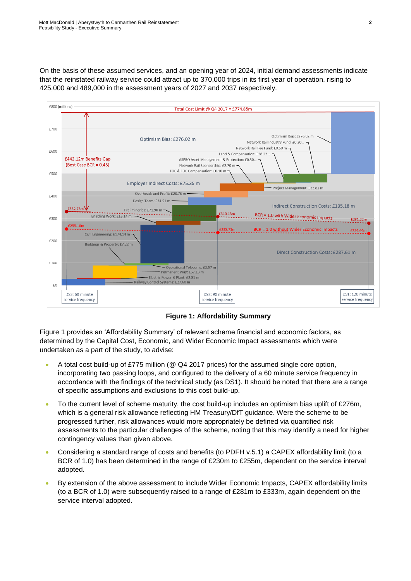On the basis of these assumed services, and an opening year of 2024, initial demand assessments indicate that the reinstated railway service could attract up to 370,000 trips in its first year of operation, rising to 425,000 and 489,000 in the assessment years of 2027 and 2037 respectively.



<span id="page-4-0"></span>**Figure 1: Affordability Summary**

[Figure 1](#page-4-0) provides an 'Affordability Summary' of relevant scheme financial and economic factors, as determined by the Capital Cost, Economic, and Wider Economic Impact assessments which were undertaken as a part of the study, to advise:

- A total cost build-up of £775 million (@ Q4 2017 prices) for the assumed single core option, incorporating two passing loops, and configured to the delivery of a 60 minute service frequency in accordance with the findings of the technical study (as DS1). It should be noted that there are a range of specific assumptions and exclusions to this cost build-up.
- To the current level of scheme maturity, the cost build-up includes an optimism bias uplift of £276m, which is a general risk allowance reflecting HM Treasury/DfT guidance. Were the scheme to be progressed further, risk allowances would more appropriately be defined via quantified risk assessments to the particular challenges of the scheme, noting that this may identify a need for higher contingency values than given above.
- Considering a standard range of costs and benefits (to PDFH v.5.1) a CAPEX affordability limit (to a BCR of 1.0) has been determined in the range of £230m to £255m, dependent on the service interval adopted.
- By extension of the above assessment to include Wider Economic Impacts, CAPEX affordability limits (to a BCR of 1.0) were subsequently raised to a range of £281m to £333m, again dependent on the service interval adopted.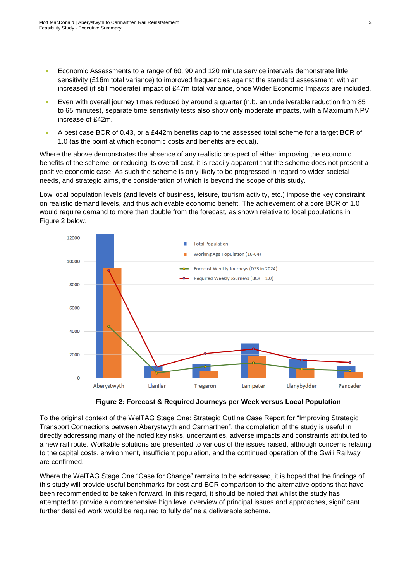- Economic Assessments to a range of 60, 90 and 120 minute service intervals demonstrate little sensitivity (£16m total variance) to improved frequencies against the standard assessment, with an increased (if still moderate) impact of £47m total variance, once Wider Economic Impacts are included.
- Even with overall journey times reduced by around a quarter (n.b. an undeliverable reduction from 85 to 65 minutes), separate time sensitivity tests also show only moderate impacts, with a Maximum NPV increase of £42m.
- A best case BCR of 0.43, or a £442m benefits gap to the assessed total scheme for a target BCR of 1.0 (as the point at which economic costs and benefits are equal).

Where the above demonstrates the absence of any realistic prospect of either improving the economic benefits of the scheme, or reducing its overall cost, it is readily apparent that the scheme does not present a positive economic case. As such the scheme is only likely to be progressed in regard to wider societal needs, and strategic aims, the consideration of which is beyond the scope of this study.

Low local population levels (and levels of business, leisure, tourism activity, etc.) impose the key constraint on realistic demand levels, and thus achievable economic benefit. The achievement of a core BCR of 1.0 would require demand to more than double from the forecast, as shown relative to local populations in Figure 2 below.



**Figure 2: Forecast & Required Journeys per Week versus Local Population**

To the original context of the WelTAG Stage One: Strategic Outline Case Report for "Improving Strategic Transport Connections between Aberystwyth and Carmarthen", the completion of the study is useful in directly addressing many of the noted key risks, uncertainties, adverse impacts and constraints attributed to a new rail route. Workable solutions are presented to various of the issues raised, although concerns relating to the capital costs, environment, insufficient population, and the continued operation of the Gwili Railway are confirmed.

Where the WelTAG Stage One "Case for Change" remains to be addressed, it is hoped that the findings of this study will provide useful benchmarks for cost and BCR comparison to the alternative options that have been recommended to be taken forward. In this regard, it should be noted that whilst the study has attempted to provide a comprehensive high level overview of principal issues and approaches, significant further detailed work would be required to fully define a deliverable scheme.